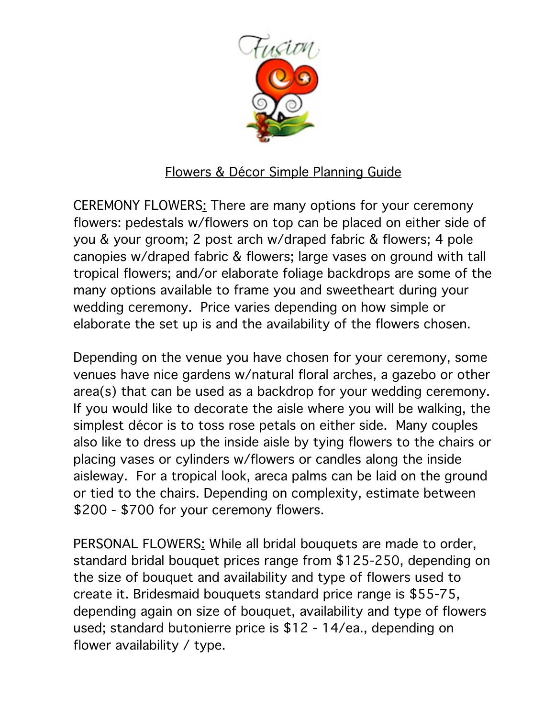

## Flowers & Décor Simple Planning Guide

CEREMONY FLOWERS: There are many options for your ceremony flowers: pedestals w/flowers on top can be placed on either side of you & your groom; 2 post arch w/draped fabric & flowers; 4 pole canopies w/draped fabric & flowers; large vases on ground with tall tropical flowers; and/or elaborate foliage backdrops are some of the many options available to frame you and sweetheart during your wedding ceremony. Price varies depending on how simple or elaborate the set up is and the availability of the flowers chosen.

Depending on the venue you have chosen for your ceremony, some venues have nice gardens w/natural floral arches, a gazebo or other area(s) that can be used as a backdrop for your wedding ceremony. If you would like to decorate the aisle where you will be walking, the simplest décor is to toss rose petals on either side. Many couples also like to dress up the inside aisle by tying flowers to the chairs or placing vases or cylinders w/flowers or candles along the inside aisleway. For a tropical look, areca palms can be laid on the ground or tied to the chairs. Depending on complexity, estimate between \$200 - \$700 for your ceremony flowers.

PERSONAL FLOWERS: While all bridal bouquets are made to order, standard bridal bouquet prices range from \$125-250, depending on the size of bouquet and availability and type of flowers used to create it. Bridesmaid bouquets standard price range is \$55-75, depending again on size of bouquet, availability and type of flowers used; standard butonierre price is \$12 - 14/ea., depending on flower availability / type.